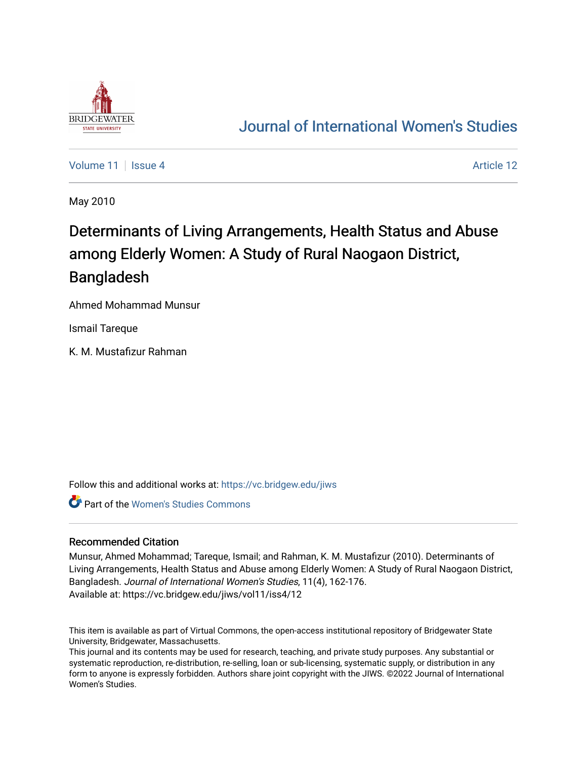

## [Journal of International Women's Studies](https://vc.bridgew.edu/jiws)

[Volume 11](https://vc.bridgew.edu/jiws/vol11) | [Issue 4](https://vc.bridgew.edu/jiws/vol11/iss4) Article 12

May 2010

# Determinants of Living Arrangements, Health Status and Abuse among Elderly Women: A Study of Rural Naogaon District, Bangladesh

Ahmed Mohammad Munsur

Ismail Tareque

K. M. Mustafizur Rahman

Follow this and additional works at: [https://vc.bridgew.edu/jiws](https://vc.bridgew.edu/jiws?utm_source=vc.bridgew.edu%2Fjiws%2Fvol11%2Fiss4%2F12&utm_medium=PDF&utm_campaign=PDFCoverPages)

Part of the [Women's Studies Commons](http://network.bepress.com/hgg/discipline/561?utm_source=vc.bridgew.edu%2Fjiws%2Fvol11%2Fiss4%2F12&utm_medium=PDF&utm_campaign=PDFCoverPages) 

#### Recommended Citation

Munsur, Ahmed Mohammad; Tareque, Ismail; and Rahman, K. M. Mustafizur (2010). Determinants of Living Arrangements, Health Status and Abuse among Elderly Women: A Study of Rural Naogaon District, Bangladesh. Journal of International Women's Studies, 11(4), 162-176. Available at: https://vc.bridgew.edu/jiws/vol11/iss4/12

This item is available as part of Virtual Commons, the open-access institutional repository of Bridgewater State University, Bridgewater, Massachusetts.

This journal and its contents may be used for research, teaching, and private study purposes. Any substantial or systematic reproduction, re-distribution, re-selling, loan or sub-licensing, systematic supply, or distribution in any form to anyone is expressly forbidden. Authors share joint copyright with the JIWS. ©2022 Journal of International Women's Studies.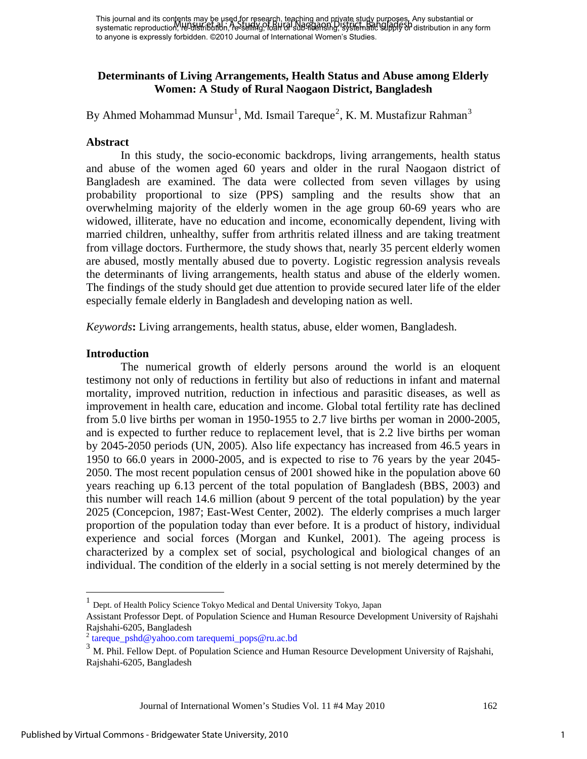This journal and its contents may be used for research, teaching and private study purposes. Any substantial or This journal and its complits high constructing to the selling and property and property of Principal Study of to anyone is expressly forbidden. ©2010 Journal of International Women's Studies.

## **Determinants of Living Arrangements, Health Status and Abuse among Elderly Women: A Study of Rural Naogaon District, Bangladesh**

By Ahmed Mohammad Munsur<sup>[1](#page-1-0)</sup>, Md. Ismail Tareque<sup>[2](#page-1-1)</sup>, K. M. Mustafizur Rahman<sup>[3](#page-1-2)</sup>

## **Abstract**

In this study, the socio-economic backdrops, living arrangements, health status and abuse of the women aged 60 years and older in the rural Naogaon district of Bangladesh are examined. The data were collected from seven villages by using probability proportional to size (PPS) sampling and the results show that an overwhelming majority of the elderly women in the age group 60-69 years who are widowed, illiterate, have no education and income, economically dependent, living with married children, unhealthy, suffer from arthritis related illness and are taking treatment from village doctors. Furthermore, the study shows that, nearly 35 percent elderly women are abused, mostly mentally abused due to poverty. Logistic regression analysis reveals the determinants of living arrangements, health status and abuse of the elderly women. The findings of the study should get due attention to provide secured later life of the elder especially female elderly in Bangladesh and developing nation as well.

*Keywords***:** Living arrangements, health status, abuse, elder women, Bangladesh.

### **Introduction**

1

The numerical growth of elderly persons around the world is an eloquent testimony not only of reductions in fertility but also of reductions in infant and maternal mortality, improved nutrition, reduction in infectious and parasitic diseases, as well as improvement in health care, education and income. Global total fertility rate has declined from 5.0 live births per woman in 1950-1955 to 2.7 live births per woman in 2000-2005, and is expected to further reduce to replacement level, that is 2.2 live births per woman by 2045-2050 periods (UN, 2005). Also life expectancy has increased from 46.5 years in 1950 to 66.0 years in 2000-2005, and is expected to rise to 76 years by the year 2045- 2050. The most recent population census of 2001 showed hike in the population above 60 years reaching up 6.13 percent of the total population of Bangladesh (BBS, 2003) and this number will reach 14.6 million (about 9 percent of the total population) by the year 2025 (Concepcion, 1987; East-West Center, 2002). The elderly comprises a much larger proportion of the population today than ever before. It is a product of history, individual experience and social forces (Morgan and Kunkel, 2001). The ageing process is characterized by a complex set of social, psychological and biological changes of an individual. The condition of the elderly in a social setting is not merely determined by the

<sup>1</sup> Dept. of Health Policy Science Tokyo Medical and Dental University Tokyo, Japan

<span id="page-1-0"></span>Assistant Professor Dept. of Population Science and Human Resource Development University of Rajshahi Rajshahi-6205, Bangladesh

<span id="page-1-1"></span><sup>2</sup> [tareque\\_pshd@yahoo.com](mailto:tareque_pshd@yahoo.com) [tarequemi\\_pops@ru.ac.bd](mailto:tarequemi_pops@ru.ac.bd)

<span id="page-1-2"></span><sup>&</sup>lt;sup>3</sup> M. Phil. Fellow Dept. of Population Science and Human Resource Development University of Rajshahi, Rajshahi-6205, Bangladesh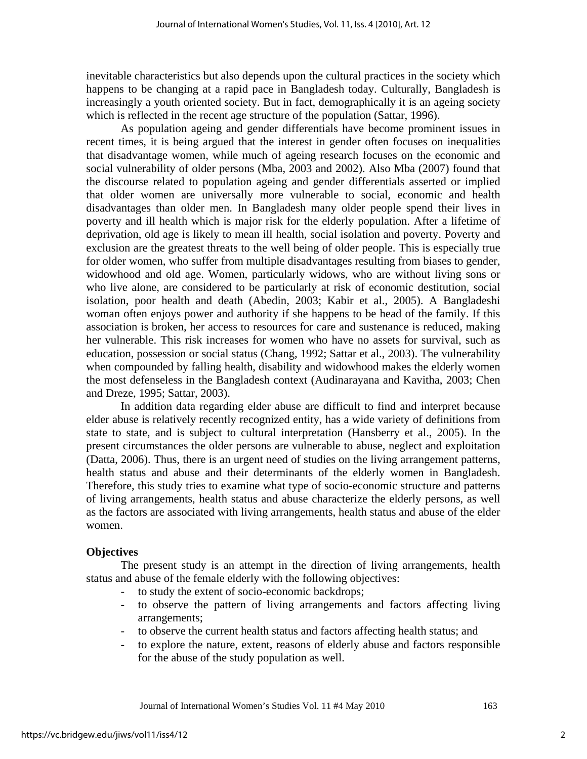inevitable characteristics but also depends upon the cultural practices in the society which happens to be changing at a rapid pace in Bangladesh today. Culturally, Bangladesh is increasingly a youth oriented society. But in fact, demographically it is an ageing society which is reflected in the recent age structure of the population (Sattar, 1996).

As population ageing and gender differentials have become prominent issues in recent times, it is being argued that the interest in gender often focuses on inequalities that disadvantage women, while much of ageing research focuses on the economic and social vulnerability of older persons (Mba, 2003 and 2002). Also Mba (2007) found that the discourse related to population ageing and gender differentials asserted or implied that older women are universally more vulnerable to social, economic and health disadvantages than older men. In Bangladesh many older people spend their lives in poverty and ill health which is major risk for the elderly population. After a lifetime of deprivation, old age is likely to mean ill health, social isolation and poverty. Poverty and exclusion are the greatest threats to the well being of older people. This is especially true for older women, who suffer from multiple disadvantages resulting from biases to gender, widowhood and old age. Women, particularly widows, who are without living sons or who live alone, are considered to be particularly at risk of economic destitution, social isolation, poor health and death (Abedin, 2003; Kabir et al., 2005). A Bangladeshi woman often enjoys power and authority if she happens to be head of the family. If this association is broken, her access to resources for care and sustenance is reduced, making her vulnerable. This risk increases for women who have no assets for survival, such as education, possession or social status (Chang, 1992; Sattar et al., 2003). The vulnerability when compounded by falling health, disability and widowhood makes the elderly women the most defenseless in the Bangladesh context (Audinarayana and Kavitha, 2003; Chen and Dreze, 1995; Sattar, 2003).

In addition data regarding elder abuse are difficult to find and interpret because elder abuse is relatively recently recognized entity, has a wide variety of definitions from state to state, and is subject to cultural interpretation (Hansberry et al., 2005). In the present circumstances the older persons are vulnerable to abuse, neglect and exploitation (Datta, 2006). Thus, there is an urgent need of studies on the living arrangement patterns, health status and abuse and their determinants of the elderly women in Bangladesh. Therefore, this study tries to examine what type of socio-economic structure and patterns of living arrangements, health status and abuse characterize the elderly persons, as well as the factors are associated with living arrangements, health status and abuse of the elder women.

## **Objectives**

The present study is an attempt in the direction of living arrangements, health status and abuse of the female elderly with the following objectives:

- to study the extent of socio-economic backdrops;
- to observe the pattern of living arrangements and factors affecting living arrangements;
- to observe the current health status and factors affecting health status; and
- to explore the nature, extent, reasons of elderly abuse and factors responsible for the abuse of the study population as well.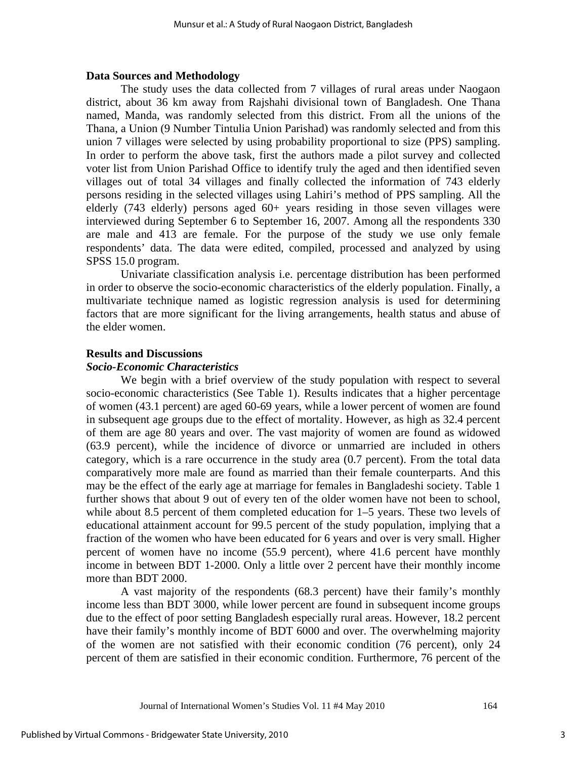#### **Data Sources and Methodology**

The study uses the data collected from 7 villages of rural areas under Naogaon district, about 36 km away from Rajshahi divisional town of Bangladesh. One Thana named, Manda, was randomly selected from this district. From all the unions of the Thana, a Union (9 Number Tintulia Union Parishad) was randomly selected and from this union 7 villages were selected by using probability proportional to size (PPS) sampling. In order to perform the above task, first the authors made a pilot survey and collected voter list from Union Parishad Office to identify truly the aged and then identified seven villages out of total 34 villages and finally collected the information of 743 elderly persons residing in the selected villages using Lahiri's method of PPS sampling. All the elderly (743 elderly) persons aged 60+ years residing in those seven villages were interviewed during September 6 to September 16, 2007. Among all the respondents 330 are male and 413 are female. For the purpose of the study we use only female respondents' data. The data were edited, compiled, processed and analyzed by using SPSS 15.0 program.

Univariate classification analysis i.e. percentage distribution has been performed in order to observe the socio-economic characteristics of the elderly population. Finally, a multivariate technique named as logistic regression analysis is used for determining factors that are more significant for the living arrangements, health status and abuse of the elder women.

#### **Results and Discussions**

#### *Socio-Economic Characteristics*

We begin with a brief overview of the study population with respect to several socio-economic characteristics (See Table 1). Results indicates that a higher percentage of women (43.1 percent) are aged 60-69 years, while a lower percent of women are found in subsequent age groups due to the effect of mortality. However, as high as 32.4 percent of them are age 80 years and over. The vast majority of women are found as widowed (63.9 percent), while the incidence of divorce or unmarried are included in others category, which is a rare occurrence in the study area (0.7 percent). From the total data comparatively more male are found as married than their female counterparts. And this may be the effect of the early age at marriage for females in Bangladeshi society. Table 1 further shows that about 9 out of every ten of the older women have not been to school, while about 8.5 percent of them completed education for 1–5 years. These two levels of educational attainment account for 99.5 percent of the study population, implying that a fraction of the women who have been educated for 6 years and over is very small. Higher percent of women have no income (55.9 percent), where 41.6 percent have monthly income in between BDT 1-2000. Only a little over 2 percent have their monthly income more than BDT 2000.

A vast majority of the respondents (68.3 percent) have their family's monthly income less than BDT 3000, while lower percent are found in subsequent income groups due to the effect of poor setting Bangladesh especially rural areas. However, 18.2 percent have their family's monthly income of BDT 6000 and over. The overwhelming majority of the women are not satisfied with their economic condition (76 percent), only 24 percent of them are satisfied in their economic condition. Furthermore, 76 percent of the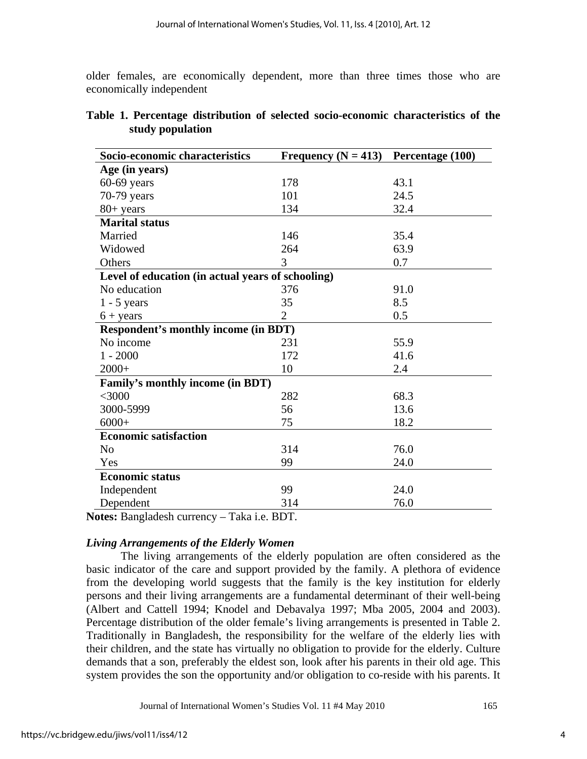older females, are economically dependent, more than three times those who are economically independent

| Socio-economic characteristics                    | Frequency ( $N = 413$ ) | Percentage (100) |
|---------------------------------------------------|-------------------------|------------------|
| Age (in years)                                    |                         |                  |
| $60-69$ years                                     | 178                     | 43.1             |
| 70-79 years                                       | 101                     | 24.5             |
| $80+$ years                                       | 134                     | 32.4             |
| <b>Marital status</b>                             |                         |                  |
| Married                                           | 146                     | 35.4             |
| Widowed                                           | 264                     | 63.9             |
| Others                                            | 3                       | 0.7              |
| Level of education (in actual years of schooling) |                         |                  |
| No education                                      | 376                     | 91.0             |
| $1 - 5$ years                                     | 35                      | 8.5              |
| $6 + years$                                       | $\overline{2}$          | 0.5              |
| <b>Respondent's monthly income (in BDT)</b>       |                         |                  |
| No income                                         | 231                     | 55.9             |
| $1 - 2000$                                        | 172                     | 41.6             |
| $2000+$                                           | 10                      | 2.4              |
| Family's monthly income (in BDT)                  |                         |                  |
| $<$ 3000                                          | 282                     | 68.3             |
| 3000-5999                                         | 56                      | 13.6             |
| $6000+$                                           | 75                      | 18.2             |
| <b>Economic satisfaction</b>                      |                         |                  |
| N <sub>o</sub>                                    | 314                     | 76.0             |
| Yes                                               | 99                      | 24.0             |
| <b>Economic status</b>                            |                         |                  |
| Independent                                       | 99                      | 24.0             |
| Dependent                                         | 314                     | 76.0             |

## **Table 1. Percentage distribution of selected socio-economic characteristics of the study population**

**Notes:** Bangladesh currency – Taka i.e. BDT.

## *Living Arrangements of the Elderly Women*

The living arrangements of the elderly population are often considered as the basic indicator of the care and support provided by the family. A plethora of evidence from the developing world suggests that the family is the key institution for elderly persons and their living arrangements are a fundamental determinant of their well-being (Albert and Cattell 1994; Knodel and Debavalya 1997; Mba 2005, 2004 and 2003). Percentage distribution of the older female's living arrangements is presented in Table 2. Traditionally in Bangladesh, the responsibility for the welfare of the elderly lies with their children, and the state has virtually no obligation to provide for the elderly. Culture demands that a son, preferably the eldest son, look after his parents in their old age. This system provides the son the opportunity and/or obligation to co-reside with his parents. It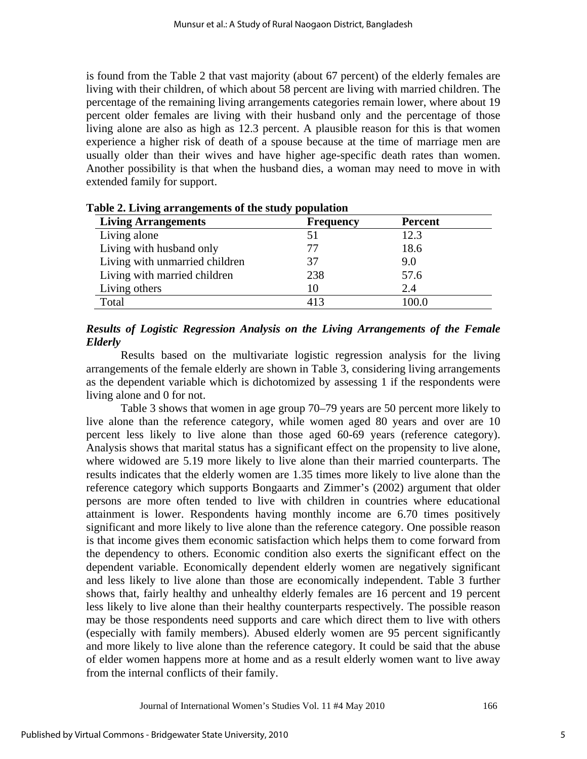is found from the Table 2 that vast majority (about 67 percent) of the elderly females are living with their children, of which about 58 percent are living with married children. The percentage of the remaining living arrangements categories remain lower, where about 19 percent older females are living with their husband only and the percentage of those living alone are also as high as 12.3 percent. A plausible reason for this is that women experience a higher risk of death of a spouse because at the time of marriage men are usually older than their wives and have higher age-specific death rates than women. Another possibility is that when the husband dies, a woman may need to move in with extended family for support.

| <b>Living Arrangements</b>     | <b>Frequency</b> | <b>Percent</b> |
|--------------------------------|------------------|----------------|
| Living alone                   | 51               | 12.3           |
| Living with husband only       |                  | 18.6           |
| Living with unmarried children | 37               | 9.0            |
| Living with married children   | 238              | 57.6           |
| Living others                  |                  | 2.4            |
| Total                          | 413              | 100.0          |

#### **Table 2. Living arrangements of the study population**

## *Results of Logistic Regression Analysis on the Living Arrangements of the Female Elderly*

Results based on the multivariate logistic regression analysis for the living arrangements of the female elderly are shown in Table 3, considering living arrangements as the dependent variable which is dichotomized by assessing 1 if the respondents were living alone and 0 for not.

Table 3 shows that women in age group 70–79 years are 50 percent more likely to live alone than the reference category, while women aged 80 years and over are 10 percent less likely to live alone than those aged 60-69 years (reference category). Analysis shows that marital status has a significant effect on the propensity to live alone, where widowed are 5.19 more likely to live alone than their married counterparts. The results indicates that the elderly women are 1.35 times more likely to live alone than the reference category which supports Bongaarts and Zimmer's (2002) argument that older persons are more often tended to live with children in countries where educational attainment is lower. Respondents having monthly income are 6.70 times positively significant and more likely to live alone than the reference category. One possible reason is that income gives them economic satisfaction which helps them to come forward from the dependency to others. Economic condition also exerts the significant effect on the dependent variable. Economically dependent elderly women are negatively significant and less likely to live alone than those are economically independent. Table 3 further shows that, fairly healthy and unhealthy elderly females are 16 percent and 19 percent less likely to live alone than their healthy counterparts respectively. The possible reason may be those respondents need supports and care which direct them to live with others (especially with family members). Abused elderly women are 95 percent significantly and more likely to live alone than the reference category. It could be said that the abuse of elder women happens more at home and as a result elderly women want to live away from the internal conflicts of their family.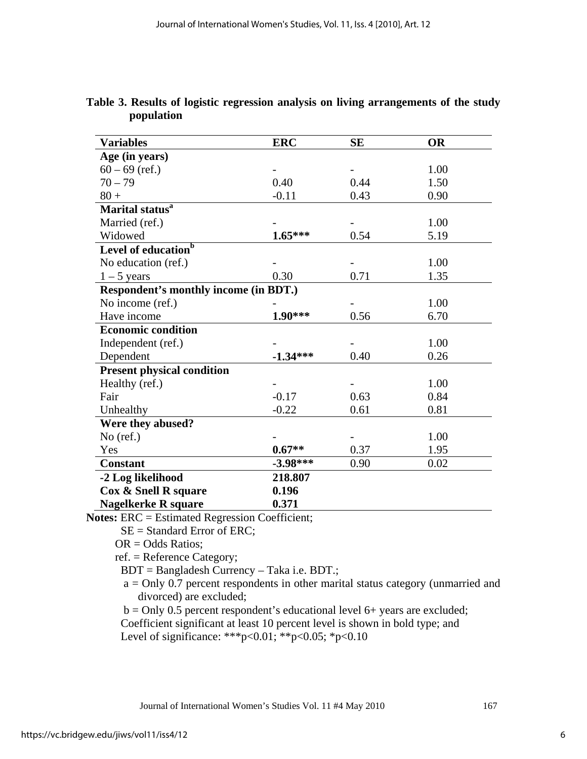| <b>Variables</b>                             | <b>ERC</b> | SE   | <b>OR</b> |
|----------------------------------------------|------------|------|-----------|
| Age (in years)                               |            |      |           |
| $60 - 69$ (ref.)                             |            |      | 1.00      |
| $70 - 79$                                    | 0.40       | 0.44 | 1.50      |
| $80 +$                                       | $-0.11$    | 0.43 | 0.90      |
| Marital status <sup>a</sup>                  |            |      |           |
| Married (ref.)                               |            |      | 1.00      |
| Widowed                                      | $1.65***$  | 0.54 | 5.19      |
| Level of education <sup>b</sup>              |            |      |           |
| No education (ref.)                          |            |      | 1.00      |
| $1 - 5$ years                                | 0.30       | 0.71 | 1.35      |
| <b>Respondent's monthly income (in BDT.)</b> |            |      |           |
| No income (ref.)                             |            |      | 1.00      |
| Have income                                  | 1.90***    | 0.56 | 6.70      |
| <b>Economic condition</b>                    |            |      |           |
| Independent (ref.)                           |            |      | 1.00      |
| Dependent                                    | $-1.34***$ | 0.40 | 0.26      |
| <b>Present physical condition</b>            |            |      |           |
| Healthy (ref.)                               |            |      | 1.00      |
| Fair                                         | $-0.17$    | 0.63 | 0.84      |
| Unhealthy                                    | $-0.22$    | 0.61 | 0.81      |
| Were they abused?                            |            |      |           |
| $No$ (ref.)                                  |            |      | 1.00      |
| Yes                                          | $0.67**$   | 0.37 | 1.95      |
| <b>Constant</b>                              | $-3.98***$ | 0.90 | 0.02      |
| -2 Log likelihood                            | 218.807    |      |           |
| Cox & Snell R square                         | 0.196      |      |           |
| <b>Nagelkerke R square</b>                   | 0.371      |      |           |

**Table 3. Results of logistic regression analysis on living arrangements of the study population** 

**Notes:** ERC = Estimated Regression Coefficient;

SE = Standard Error of ERC;

 $OR = Odds$  Ratios:

ref. = Reference Category;

BDT = Bangladesh Currency – Taka i.e. BDT.;

 a = Only 0.7 percent respondents in other marital status category (unmarried and divorced) are excluded;

 $b =$ Only 0.5 percent respondent's educational level 6+ years are excluded; Coefficient significant at least 10 percent level is shown in bold type; and Level of significance: \*\*\*p<0.01; \*\*p<0.05; \*p<0.10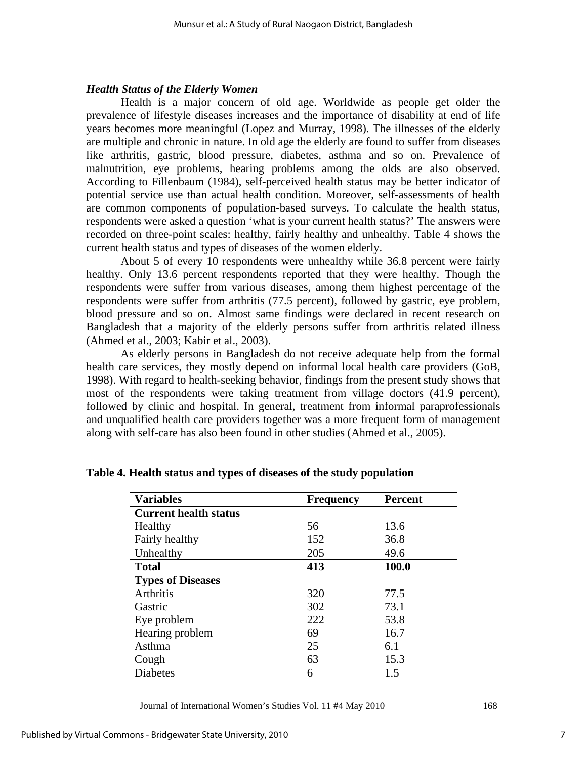### *Health Status of the Elderly Women*

Health is a major concern of old age. Worldwide as people get older the prevalence of lifestyle diseases increases and the importance of disability at end of life years becomes more meaningful (Lopez and Murray, 1998). The illnesses of the elderly are multiple and chronic in nature. In old age the elderly are found to suffer from diseases like arthritis, gastric, blood pressure, diabetes, asthma and so on. Prevalence of malnutrition, eye problems, hearing problems among the olds are also observed. According to Fillenbaum (1984), self-perceived health status may be better indicator of potential service use than actual health condition. Moreover, self-assessments of health are common components of population-based surveys. To calculate the health status, respondents were asked a question 'what is your current health status?' The answers were recorded on three-point scales: healthy, fairly healthy and unhealthy. Table 4 shows the current health status and types of diseases of the women elderly.

About 5 of every 10 respondents were unhealthy while 36.8 percent were fairly healthy. Only 13.6 percent respondents reported that they were healthy. Though the respondents were suffer from various diseases, among them highest percentage of the respondents were suffer from arthritis (77.5 percent), followed by gastric, eye problem, blood pressure and so on. Almost same findings were declared in recent research on Bangladesh that a majority of the elderly persons suffer from arthritis related illness (Ahmed et al., 2003; Kabir et al., 2003).

As elderly persons in Bangladesh do not receive adequate help from the formal health care services, they mostly depend on informal local health care providers (GoB, 1998). With regard to health-seeking behavior, findings from the present study shows that most of the respondents were taking treatment from village doctors (41.9 percent), followed by clinic and hospital. In general, treatment from informal paraprofessionals and unqualified health care providers together was a more frequent form of management along with self-care has also been found in other studies (Ahmed et al., 2005).

| <b>Variables</b>             | <b>Frequency</b> | <b>Percent</b> |
|------------------------------|------------------|----------------|
| <b>Current health status</b> |                  |                |
| Healthy                      | 56               | 13.6           |
| Fairly healthy               | 152              | 36.8           |
| Unhealthy                    | 205              | 49.6           |
| <b>Total</b>                 | 413              | 100.0          |
| <b>Types of Diseases</b>     |                  |                |
| <b>Arthritis</b>             | 320              | 77.5           |
| Gastric                      | 302              | 73.1           |
| Eye problem                  | 222              | 53.8           |
| Hearing problem              | 69               | 16.7           |
| Asthma                       | 25               | 6.1            |
| Cough                        | 63               | 15.3           |
| <b>Diabetes</b>              | 6                | 1.5            |

**Table 4. Health status and types of diseases of the study population**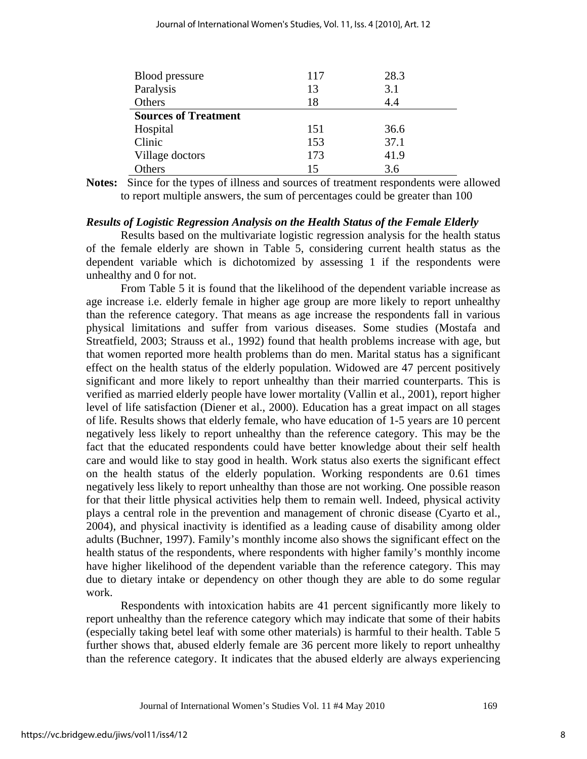| <b>Blood</b> pressure       | 117 | 28.3 |
|-----------------------------|-----|------|
| Paralysis                   | 13  | 3.1  |
| Others                      | 18  | 4.4  |
| <b>Sources of Treatment</b> |     |      |
| Hospital                    | 151 | 36.6 |
| Clinic                      | 153 | 37.1 |
| Village doctors             | 173 | 41.9 |
| Others                      | 15  | 3.6  |

**Notes:** Since for the types of illness and sources of treatment respondents were allowed to report multiple answers, the sum of percentages could be greater than 100

#### *Results of Logistic Regression Analysis on the Health Status of the Female Elderly*

Results based on the multivariate logistic regression analysis for the health status of the female elderly are shown in Table 5, considering current health status as the dependent variable which is dichotomized by assessing 1 if the respondents were unhealthy and 0 for not.

From Table 5 it is found that the likelihood of the dependent variable increase as age increase i.e. elderly female in higher age group are more likely to report unhealthy than the reference category. That means as age increase the respondents fall in various physical limitations and suffer from various diseases. Some studies (Mostafa and Streatfield, 2003; Strauss et al., 1992) found that health problems increase with age, but that women reported more health problems than do men. Marital status has a significant effect on the health status of the elderly population. Widowed are 47 percent positively significant and more likely to report unhealthy than their married counterparts. This is verified as married elderly people have lower mortality (Vallin et al., 2001), report higher level of life satisfaction (Diener et al., 2000). Education has a great impact on all stages of life. Results shows that elderly female, who have education of 1-5 years are 10 percent negatively less likely to report unhealthy than the reference category. This may be the fact that the educated respondents could have better knowledge about their self health care and would like to stay good in health. Work status also exerts the significant effect on the health status of the elderly population. Working respondents are 0.61 times negatively less likely to report unhealthy than those are not working. One possible reason for that their little physical activities help them to remain well. Indeed, physical activity plays a central role in the prevention and management of chronic disease (Cyarto et al., 2004), and physical inactivity is identified as a leading cause of disability among older adults (Buchner, 1997). Family's monthly income also shows the significant effect on the health status of the respondents, where respondents with higher family's monthly income have higher likelihood of the dependent variable than the reference category. This may due to dietary intake or dependency on other though they are able to do some regular work.

Respondents with intoxication habits are 41 percent significantly more likely to report unhealthy than the reference category which may indicate that some of their habits (especially taking betel leaf with some other materials) is harmful to their health. Table 5 further shows that, abused elderly female are 36 percent more likely to report unhealthy than the reference category. It indicates that the abused elderly are always experiencing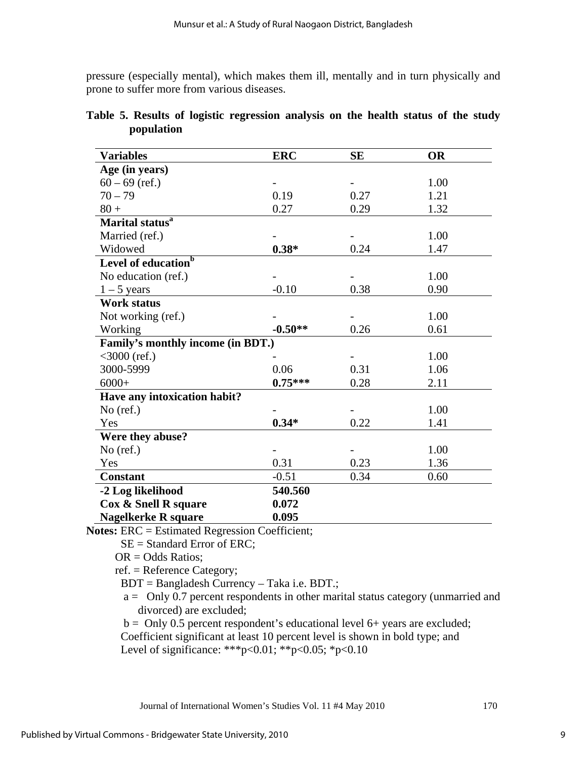pressure (especially mental), which makes them ill, mentally and in turn physically and prone to suffer more from various diseases.

| <b>Variables</b>                  | <b>ERC</b> | <b>SE</b> | <b>OR</b> |
|-----------------------------------|------------|-----------|-----------|
| Age (in years)                    |            |           |           |
| $60 - 69$ (ref.)                  |            |           | 1.00      |
| $70 - 79$                         | 0.19       | 0.27      | 1.21      |
| $80 +$                            | 0.27       | 0.29      | 1.32      |
| Marital status <sup>a</sup>       |            |           |           |
| Married (ref.)                    |            |           | 1.00      |
| Widowed                           | $0.38*$    | 0.24      | 1.47      |
| Level of education <sup>b</sup>   |            |           |           |
| No education (ref.)               |            |           | 1.00      |
| $1 - 5$ years                     | $-0.10$    | 0.38      | 0.90      |
| <b>Work status</b>                |            |           |           |
| Not working (ref.)                |            |           | 1.00      |
| Working                           | $-0.50**$  | 0.26      | 0.61      |
| Family's monthly income (in BDT.) |            |           |           |
| $<3000$ (ref.)                    |            |           | 1.00      |
| 3000-5999                         | 0.06       | 0.31      | 1.06      |
| $6000+$                           | $0.75***$  | 0.28      | 2.11      |
| Have any intoxication habit?      |            |           |           |
| $No$ (ref.)                       |            |           | 1.00      |
| Yes                               | $0.34*$    | 0.22      | 1.41      |
| Were they abuse?                  |            |           |           |
| $No$ (ref.)                       |            |           | 1.00      |
| Yes                               | 0.31       | 0.23      | 1.36      |
| <b>Constant</b>                   | $-0.51$    | 0.34      | 0.60      |
| -2 Log likelihood                 | 540.560    |           |           |
| Cox & Snell R square              | 0.072      |           |           |
| <b>Nagelkerke R square</b>        | 0.095      |           |           |

| Table 5. Results of logistic regression analysis on the health status of the study |  |  |  |  |  |
|------------------------------------------------------------------------------------|--|--|--|--|--|
| population                                                                         |  |  |  |  |  |

**Notes:** ERC = Estimated Regression Coefficient;

SE = Standard Error of ERC;

 $OR = Odds$  Ratios;

ref. = Reference Category;

BDT = Bangladesh Currency – Taka i.e. BDT.;

 a = Only 0.7 percent respondents in other marital status category (unmarried and divorced) are excluded;

 $b =$  Only 0.5 percent respondent's educational level 6+ years are excluded;

 Coefficient significant at least 10 percent level is shown in bold type; and Level of significance: \*\*\*p<0.01; \*\*p<0.05; \*p<0.10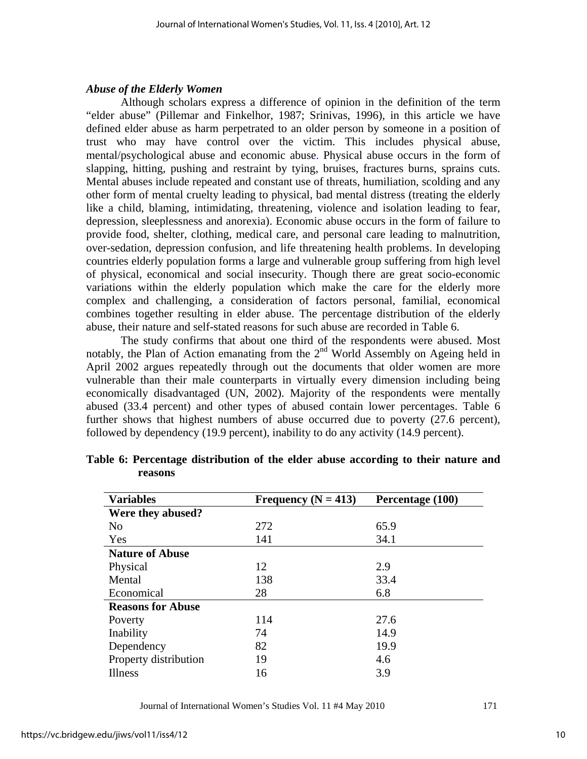### *Abuse of the Elderly Women*

Although scholars express a difference of opinion in the definition of the term "elder abuse" (Pillemar and Finkelhor, 1987; Srinivas, 1996), in this article we have defined elder abuse as harm perpetrated to an older person by someone in a position of trust who may have control over the victim. This includes physical abuse, mental/psychological abuse and economic abuse. Physical abuse occurs in the form of slapping, hitting, pushing and restraint by tying, bruises, fractures burns, sprains cuts. Mental abuses include repeated and constant use of threats, humiliation, scolding and any other form of mental cruelty leading to physical, bad mental distress (treating the elderly like a child, blaming, intimidating, threatening, violence and isolation leading to fear, depression, sleeplessness and anorexia). Economic abuse occurs in the form of failure to provide food, shelter, clothing, medical care, and personal care leading to malnutrition, over-sedation, depression confusion, and life threatening health problems. In developing countries elderly population forms a large and vulnerable group suffering from high level of physical, economical and social insecurity. Though there are great socio-economic variations within the elderly population which make the care for the elderly more complex and challenging, a consideration of factors personal, familial, economical combines together resulting in elder abuse. The percentage distribution of the elderly abuse, their nature and self-stated reasons for such abuse are recorded in Table 6.

The study confirms that about one third of the respondents were abused. Most notably, the Plan of Action emanating from the  $2<sup>nd</sup>$  World Assembly on Ageing held in April 2002 argues repeatedly through out the documents that older women are more vulnerable than their male counterparts in virtually every dimension including being economically disadvantaged (UN, 2002). Majority of the respondents were mentally abused (33.4 percent) and other types of abused contain lower percentages. Table 6 further shows that highest numbers of abuse occurred due to poverty (27.6 percent), followed by dependency (19.9 percent), inability to do any activity (14.9 percent).

| <b>Variables</b>         | Frequency ( $N = 413$ ) | Percentage (100) |  |
|--------------------------|-------------------------|------------------|--|
| Were they abused?        |                         |                  |  |
| N <sub>0</sub>           | 272                     | 65.9             |  |
| Yes                      | 141                     | 34.1             |  |
| <b>Nature of Abuse</b>   |                         |                  |  |
| Physical                 | 12                      | 2.9              |  |
| Mental                   | 138                     | 33.4             |  |
| Economical               | 28                      | 6.8              |  |
| <b>Reasons for Abuse</b> |                         |                  |  |
| Poverty                  | 114                     | 27.6             |  |
| Inability                | 74                      | 14.9             |  |
| Dependency               | 82                      | 19.9             |  |
| Property distribution    | 19                      | 4.6              |  |
| Illness                  | 16                      | 3.9              |  |

**Table 6: Percentage distribution of the elder abuse according to their nature and reasons**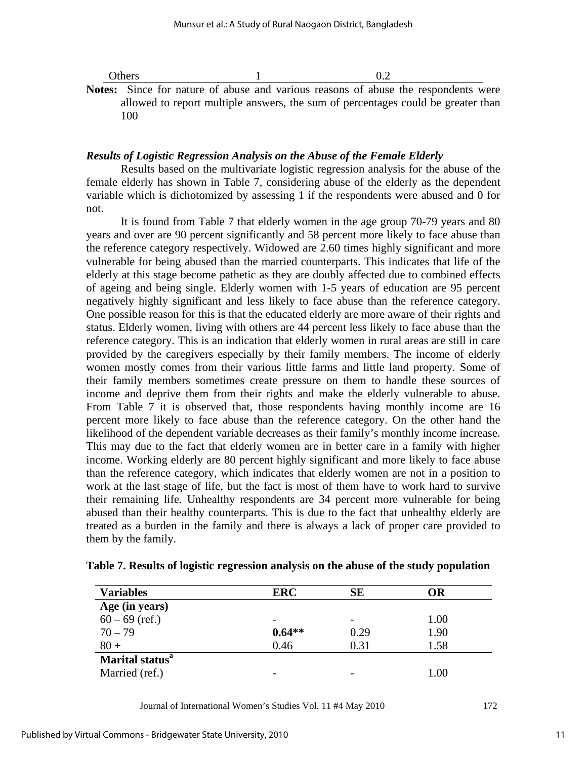| Others  |  |  |  | 02 |                                                                                           |  |
|---------|--|--|--|----|-------------------------------------------------------------------------------------------|--|
|         |  |  |  |    | <b>Notes:</b> Since for nature of abuse and various reasons of abuse the respondents were |  |
|         |  |  |  |    | allowed to report multiple answers, the sum of percentages could be greater than          |  |
| $100 -$ |  |  |  |    |                                                                                           |  |

#### *Results of Logistic Regression Analysis on the Abuse of the Female Elderly*

Results based on the multivariate logistic regression analysis for the abuse of the female elderly has shown in Table 7, considering abuse of the elderly as the dependent variable which is dichotomized by assessing 1 if the respondents were abused and 0 for not.

It is found from Table 7 that elderly women in the age group 70-79 years and 80 years and over are 90 percent significantly and 58 percent more likely to face abuse than the reference category respectively. Widowed are 2.60 times highly significant and more vulnerable for being abused than the married counterparts. This indicates that life of the elderly at this stage become pathetic as they are doubly affected due to combined effects of ageing and being single. Elderly women with 1-5 years of education are 95 percent negatively highly significant and less likely to face abuse than the reference category. One possible reason for this is that the educated elderly are more aware of their rights and status. Elderly women, living with others are 44 percent less likely to face abuse than the reference category. This is an indication that elderly women in rural areas are still in care provided by the caregivers especially by their family members. The income of elderly women mostly comes from their various little farms and little land property. Some of their family members sometimes create pressure on them to handle these sources of income and deprive them from their rights and make the elderly vulnerable to abuse. From Table 7 it is observed that, those respondents having monthly income are 16 percent more likely to face abuse than the reference category. On the other hand the likelihood of the dependent variable decreases as their family's monthly income increase. This may due to the fact that elderly women are in better care in a family with higher income. Working elderly are 80 percent highly significant and more likely to face abuse than the reference category, which indicates that elderly women are not in a position to work at the last stage of life, but the fact is most of them have to work hard to survive their remaining life. Unhealthy respondents are 34 percent more vulnerable for being abused than their healthy counterparts. This is due to the fact that unhealthy elderly are treated as a burden in the family and there is always a lack of proper care provided to them by the family.

| <b>Variables</b>            | <b>ERC</b> | SE   | <b>OR</b> |
|-----------------------------|------------|------|-----------|
| Age (in years)              |            |      |           |
| $60 - 69$ (ref.)            |            | -    | 1.00      |
| $70 - 79$                   | $0.64**$   | 0.29 | 1.90      |
| $80 +$                      | 0.46       | 0.31 | 1.58      |
| Marital status <sup>a</sup> |            |      |           |
| Married (ref.)              |            |      | $1.00\,$  |

**Table 7. Results of logistic regression analysis on the abuse of the study population**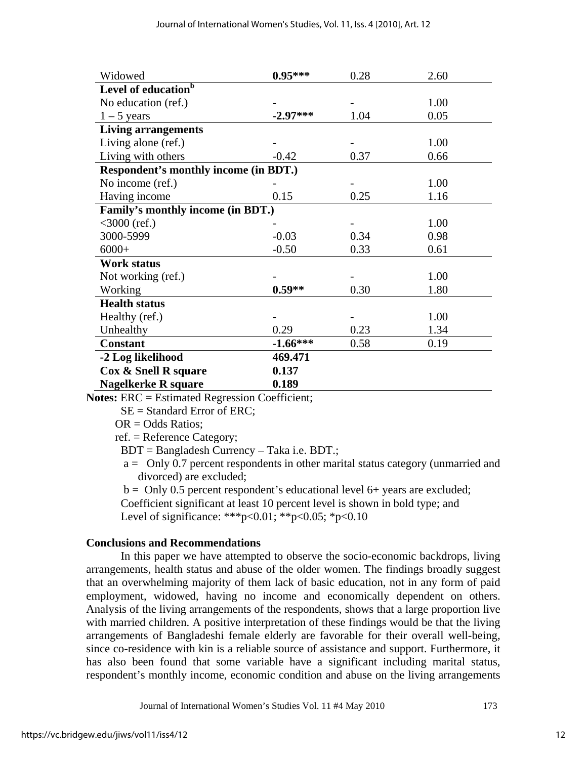| Widowed                                      | $0.95***$  | 0.28 | 2.60 |
|----------------------------------------------|------------|------|------|
| Level of education <sup>b</sup>              |            |      |      |
| No education (ref.)                          |            |      | 1.00 |
| $1 - 5$ years                                | $-2.97***$ | 1.04 | 0.05 |
| <b>Living arrangements</b>                   |            |      |      |
| Living alone (ref.)                          |            |      | 1.00 |
| Living with others                           | $-0.42$    | 0.37 | 0.66 |
| <b>Respondent's monthly income (in BDT.)</b> |            |      |      |
| No income (ref.)                             |            |      | 1.00 |
| Having income                                | 0.15       | 0.25 | 1.16 |
| Family's monthly income (in BDT.)            |            |      |      |
| $<$ 3000 (ref.)                              |            |      | 1.00 |
| 3000-5999                                    | $-0.03$    | 0.34 | 0.98 |
| $6000+$                                      | $-0.50$    | 0.33 | 0.61 |
| <b>Work status</b>                           |            |      |      |
| Not working (ref.)                           |            |      | 1.00 |
| Working                                      | $0.59**$   | 0.30 | 1.80 |
| <b>Health status</b>                         |            |      |      |
| Healthy (ref.)                               |            |      | 1.00 |
| Unhealthy                                    | 0.29       | 0.23 | 1.34 |
| <b>Constant</b>                              | $-1.66***$ | 0.58 | 0.19 |
| -2 Log likelihood                            | 469.471    |      |      |
| Cox & Snell R square                         | 0.137      |      |      |
| <b>Nagelkerke R square</b>                   | 0.189      |      |      |

**Notes:** ERC = Estimated Regression Coefficient;

SE = Standard Error of ERC;

 $OR = Odds$  Ratios:

ref. = Reference Category;

BDT = Bangladesh Currency – Taka i.e. BDT.;

 a = Only 0.7 percent respondents in other marital status category (unmarried and divorced) are excluded;

 $b =$  Only 0.5 percent respondent's educational level 6+ years are excluded; Coefficient significant at least 10 percent level is shown in bold type; and Level of significance: \*\*\*p<0.01; \*\*p<0.05; \*p<0.10

## **Conclusions and Recommendations**

In this paper we have attempted to observe the socio-economic backdrops, living arrangements, health status and abuse of the older women. The findings broadly suggest that an overwhelming majority of them lack of basic education, not in any form of paid employment, widowed, having no income and economically dependent on others. Analysis of the living arrangements of the respondents, shows that a large proportion live with married children. A positive interpretation of these findings would be that the living arrangements of Bangladeshi female elderly are favorable for their overall well-being, since co-residence with kin is a reliable source of assistance and support. Furthermore, it has also been found that some variable have a significant including marital status, respondent's monthly income, economic condition and abuse on the living arrangements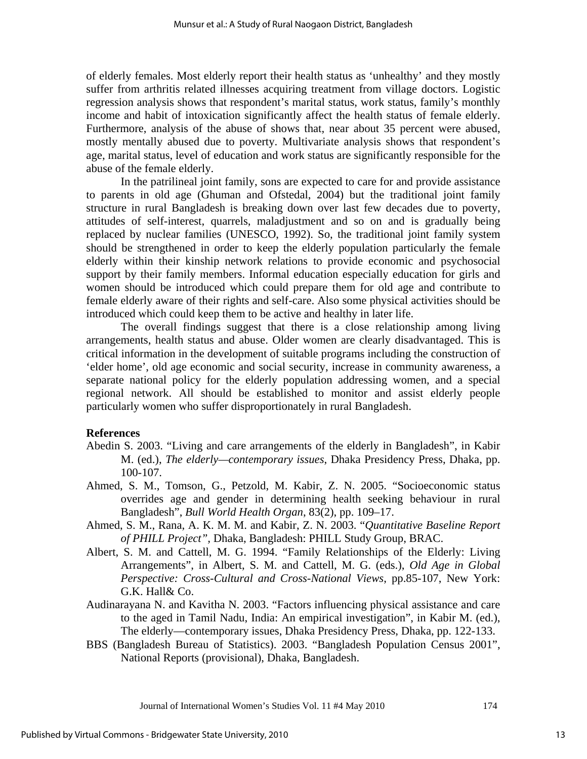of elderly females. Most elderly report their health status as 'unhealthy' and they mostly suffer from arthritis related illnesses acquiring treatment from village doctors. Logistic regression analysis shows that respondent's marital status, work status, family's monthly income and habit of intoxication significantly affect the health status of female elderly. Furthermore, analysis of the abuse of shows that, near about 35 percent were abused, mostly mentally abused due to poverty. Multivariate analysis shows that respondent's age, marital status, level of education and work status are significantly responsible for the abuse of the female elderly.

In the patrilineal joint family, sons are expected to care for and provide assistance to parents in old age (Ghuman and Ofstedal, 2004) but the traditional joint family structure in rural Bangladesh is breaking down over last few decades due to poverty, attitudes of self-interest, quarrels, maladjustment and so on and is gradually being replaced by nuclear families (UNESCO, 1992). So, the traditional joint family system should be strengthened in order to keep the elderly population particularly the female elderly within their kinship network relations to provide economic and psychosocial support by their family members. Informal education especially education for girls and women should be introduced which could prepare them for old age and contribute to female elderly aware of their rights and self-care. Also some physical activities should be introduced which could keep them to be active and healthy in later life.

The overall findings suggest that there is a close relationship among living arrangements, health status and abuse. Older women are clearly disadvantaged. This is critical information in the development of suitable programs including the construction of 'elder home', old age economic and social security, increase in community awareness, a separate national policy for the elderly population addressing women, and a special regional network. All should be established to monitor and assist elderly people particularly women who suffer disproportionately in rural Bangladesh.

#### **References**

- Abedin S. 2003. "Living and care arrangements of the elderly in Bangladesh", in Kabir M. (ed.), *The elderly—contemporary issues*, Dhaka Presidency Press, Dhaka, pp. 100-107.
- Ahmed, S. M., Tomson, G., Petzold, M. Kabir, Z. N. 2005. "Socioeconomic status overrides age and gender in determining health seeking behaviour in rural Bangladesh", *Bull World Health Organ*, 83(2), pp. 109–17.
- Ahmed, S. M., Rana, A. K. M. M. and Kabir, Z. N. 2003. "*Quantitative Baseline Report of PHILL Project",* Dhaka, Bangladesh: PHILL Study Group, BRAC.
- Albert, S. M. and Cattell, M. G. 1994. "Family Relationships of the Elderly: Living Arrangements", in Albert, S. M. and Cattell, M. G. (eds.), *Old Age in Global Perspective: Cross-Cultural and Cross-National Views*, pp.85-107, New York: G.K. Hall& Co.
- Audinarayana N. and Kavitha N. 2003. "Factors influencing physical assistance and care to the aged in Tamil Nadu, India: An empirical investigation", in Kabir M. (ed.), The elderly—contemporary issues, Dhaka Presidency Press, Dhaka, pp. 122-133.
- BBS (Bangladesh Bureau of Statistics). 2003. "Bangladesh Population Census 2001", National Reports (provisional), Dhaka, Bangladesh.

Journal of International Women's Studies Vol. 11 #4 May 2010 174

13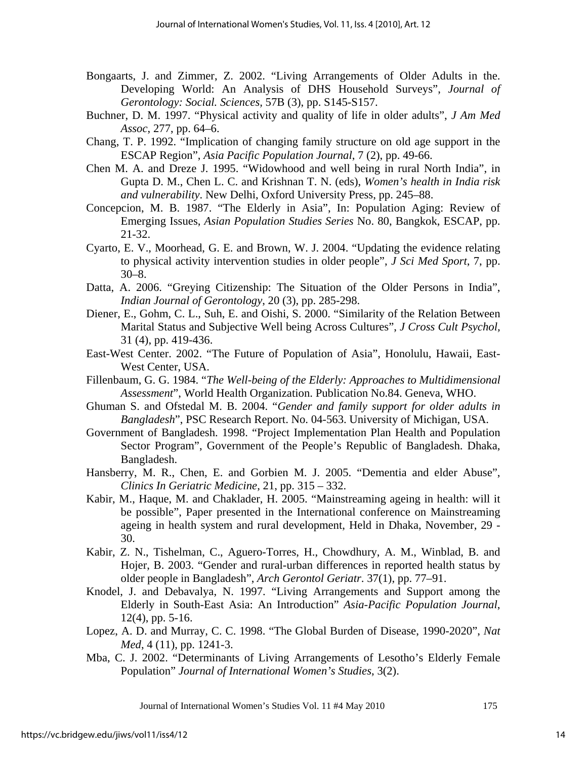- Bongaarts, J. and Zimmer, Z. 2002. "Living Arrangements of Older Adults in the. Developing World: An Analysis of DHS Household Surveys", *Journal of Gerontology: Social. Sciences,* 57B (3), pp. S145-S157.
- Buchner, D. M. 1997. "Physical activity and quality of life in older adults", *J Am Med Assoc*, 277, pp. 64–6.
- Chang, T. P. 1992. "Implication of changing family structure on old age support in the ESCAP Region", *Asia Pacific Population Journal*, 7 (2), pp. 49-66.
- Chen M. A. and Dreze J. 1995. "Widowhood and well being in rural North India", in Gupta D. M., Chen L. C. and Krishnan T. N. (eds), *Women's health in India risk and vulnerability*. New Delhi, Oxford University Press, pp. 245–88.
- Concepcion, M. B. 1987. "The Elderly in Asia", In: Population Aging: Review of Emerging Issues, *Asian Population Studies Series* No. 80, Bangkok, ESCAP, pp. 21-32.
- Cyarto, E. V., Moorhead, G. E. and Brown, W. J. 2004. "Updating the evidence relating to physical activity intervention studies in older people", *J Sci Med Sport*, 7, pp. 30–8.
- Datta, A. 2006. "Greying Citizenship: The Situation of the Older Persons in India", *Indian Journal of Gerontology*, 20 (3), pp. 285-298.
- Diener, E., Gohm, C. L., Suh, E. and Oishi, S. 2000. "Similarity of the Relation Between Marital Status and Subjective Well being Across Cultures", *J Cross Cult Psychol,* 31 (4), pp. 419-436.
- East-West Center. 2002. "The Future of Population of Asia", Honolulu, Hawaii, East-West Center, USA.
- Fillenbaum, G. G. 1984. "*The Well-being of the Elderly: Approaches to Multidimensional Assessment*", World Health Organization. Publication No.84. Geneva, WHO.
- Ghuman S. and Ofstedal M. B. 2004. "*Gender and family support for older adults in Bangladesh*", PSC Research Report. No. 04-563. University of Michigan, USA.
- Government of Bangladesh. 1998. "Project Implementation Plan Health and Population Sector Program", Government of the People's Republic of Bangladesh. Dhaka, Bangladesh.
- Hansberry, M. R., Chen, E. and Gorbien M. J. 2005. "Dementia and elder Abuse", *Clinics In Geriatric Medicine*, 21, pp. 315 – 332.
- Kabir, M., Haque, M. and Chaklader, H. 2005. "Mainstreaming ageing in health: will it be possible", Paper presented in the International conference on Mainstreaming ageing in health system and rural development, Held in Dhaka, November, 29 - 30.
- Kabir, Z. N., Tishelman, C., Aguero-Torres, H., Chowdhury, A. M., Winblad, B. and Hojer, B. 2003. "Gender and rural-urban differences in reported health status by older people in Bangladesh", *Arch Gerontol Geriatr*. 37(1), pp. 77–91.
- Knodel, J. and Debavalya, N. 1997. "Living Arrangements and Support among the Elderly in South-East Asia: An Introduction" *Asia-Pacific Population Journal*, 12(4), pp. 5-16.
- Lopez, A. D. and Murray, C. C. 1998. "The Global Burden of Disease, 1990-2020", *Nat Med*, 4 (11), pp. 1241-3.
- Mba, C. J. 2002. "Determinants of Living Arrangements of Lesotho's Elderly Female Population" *Journal of International Women's Studies*, 3(2).